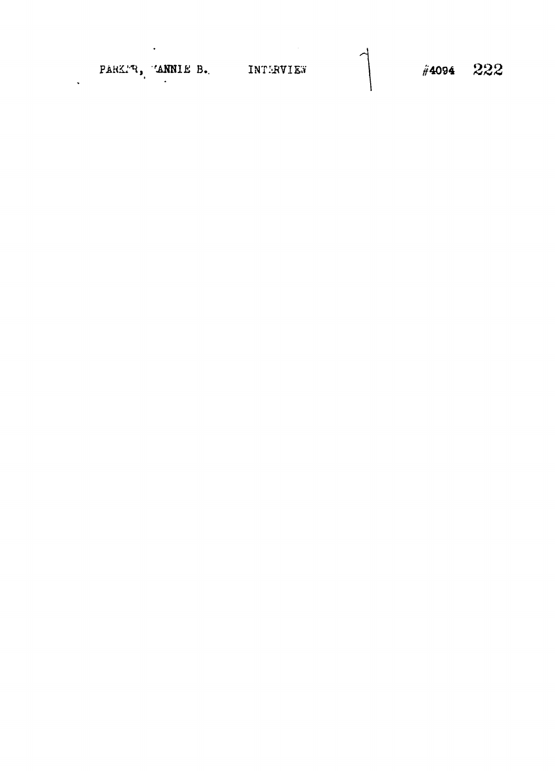PARK'R, 'ANNIE B. INTERVIET

 $\sim 100$  km s  $^{-1}$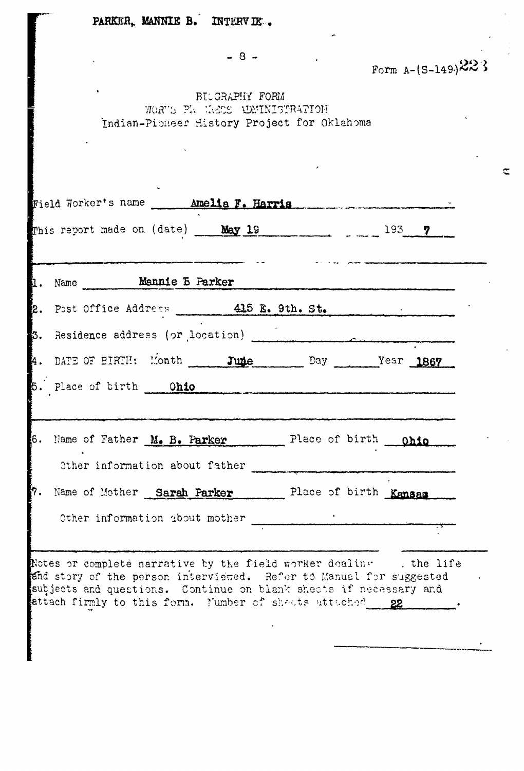|                                                                                  |                | Form $A - (S-149)$ 22} |  |
|----------------------------------------------------------------------------------|----------------|------------------------|--|
| BILGRAPHY FORM<br>WORTS PR HEES UDMINISTRATION                                   |                |                        |  |
| Indian-Picheer History Project for Oklahoma                                      |                |                        |  |
|                                                                                  |                |                        |  |
| Field Worker's name _____ Amelia F. Harris                                       |                |                        |  |
| This report made on (date) $\frac{May}{19}$ 19 $\frac{1}{199}$ $\frac{1}{193}$ 7 |                |                        |  |
|                                                                                  |                |                        |  |
| Name Mannie B Parker                                                             |                |                        |  |
| Post Office Address 415 E. 9th. St.<br><b>i</b> 2.                               |                |                        |  |
|                                                                                  |                |                        |  |
| 4. DATE OF BIRTH: Month _____ June Day _______Year 1867                          |                |                        |  |
| 5. Place of birth  Ohio                                                          |                |                        |  |
|                                                                                  |                |                        |  |
| 6.<br>Name of Father M. B. Parker                                                | Place of birth | <b>Ohio</b>            |  |
| Other information about father                                                   |                |                        |  |
| Name of Mother Sarah Parker<br>17.                                               |                | Place of birth Kansas  |  |
| Other information about mother                                                   |                |                        |  |
|                                                                                  |                |                        |  |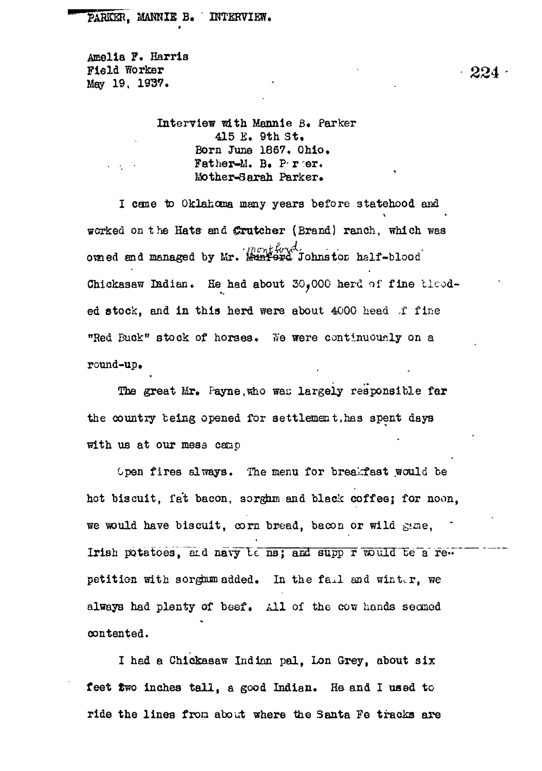Amelia P. Harris Field Worker  $224$ May 19, 1937.

> Interview ^t h Mannie B. Parker 415 E. 9th St. Born June 1867. Ohio. Father-M. B. P.rer. Mother-Sarah Parker.

I cane to Oklahoma many years before statehood and worked on the Hata and ©rutcher (Brand) ranch, which was ouned and managed by Mr. Monthoud, ouned alf-blood oraied end managed by Mr. Mttatapd Johns toe half-blood Chickasaw ladian. He had about 30.000 herd of fine tlcodround-up.

round-up•  $t_{\rm eff}$  being opened for settlement.has spent days spent days spent days spent days spent days spent days spent days spent days spent days spent days spent days spent days spent days spent days spent days spent days spen

Open fires always. The menu for brealcfast would be hot biscuit, fa't bacon, sorgfrm and black coffee} for noon, we Tould have biscuit, corn bread, bacon or wild  $\mathcal{A}(\mathcal{C})$  and  $\mathcal{C}(\mathcal{C})$ petition with sorghum added. In the fa^.1 and winter, we always had plenty of beef. All of the cow hands seemed always had plenty of beef. All of the cow had plenty of the cow hands seemed. All of the cow hands seemed  $\sim$ contented.

I had a Chickasaw Indian pal. Lon Grey, about six feet two inches tall, a good Indian. He and I used to ride the lines from about where the Santa Fe tracks are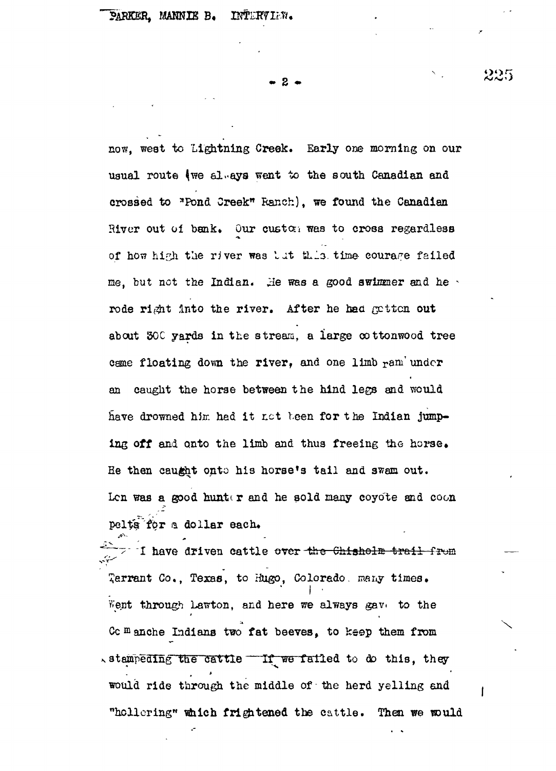**• 2 •**

now, west to Lightning Creek. Early one morning on our usual route (we always went to the south Canadian and crossed to "Pond Creek" Ranch), we found the Canadian River out of bank. Our custon was to cross regardless of how high the river was lut this time courage failed me, but not the Indian. He was a good swimmer and he  $\cdot$ rode right into the river. After he had gatten out about 30C yards in the stream, a large cottonwood tree cane floating down the river, and one limb ram under an caught the horse between the hind legs and would have drowned him hed it not been for the Indian jumping off and onto the limb and thus freeing the horse. He then caught onto his horse's tail and swam out. Len was a good hunter and he sold many coyote and coon pelts for a dollar each.

**\* v**  $\frac{1}{2}$  $\mathcal{L}^{\text{max}}$  and  $\mathcal{L}^{\text{max}}$  to Hugo,  $\mathcal{L}^{\text{max}}$  times. The Hugo, irian  $\mathcal{L}^{\text{max}}$ Went through Lawton, and here we always gave to the  $\mathcal{M}_{\text{max}}$  through Lawton, and here we always gave. The through Lawton, and here we always gave. The theorem Commenche Indians two fat beeves, to keep them from Cc Blanche Indiana two fat beeves, to keep them from  $\sim$  stampeding the cattle  $\sim$  If we failed to do this, they would ride through the middle of the herd yelling and would ride the middle of the middle of the middle of the herd yelling and . The herd yelling and . The herd ye "hollering" which frightened the cattle. Then we would

"hollering" tfiich friedrich friedrich friedrich friedrich friedrich staten the cattle . Then we tsould be cat<br>"The cattle the cattle then we tsould be cattle to the cattle the cattle the cattle the cattle the cattle the

225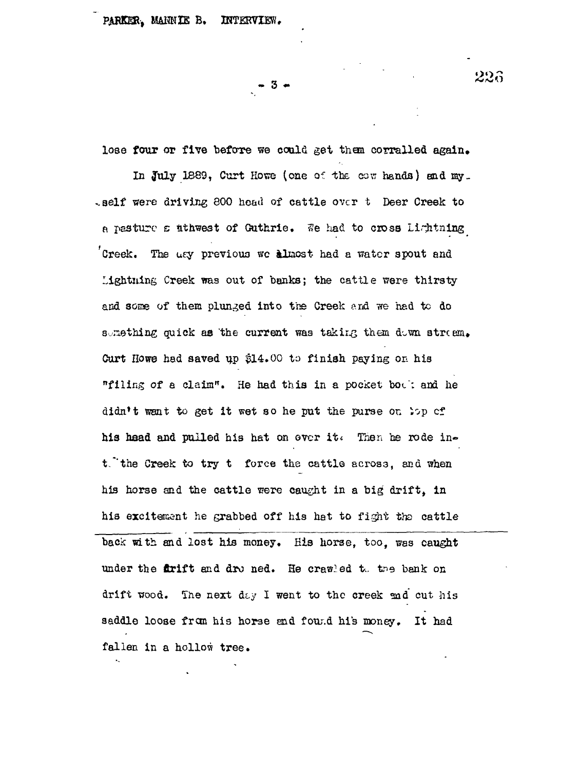PARKER, MAHNIE B. INTERVIEW.

-3 -

lose four or five before we could get them corralled again. In July 1889, Curt Howe (one of the cow hands) and my\_  $\epsilon$ self were driving 800 head of cattle over t Deer Creek to a pasture  $\varepsilon$  ithwest of Guthrie. We had to cross Lightning Creek. The usy previous we almost had a water spout and Lightning Creek was out of banks; the cattle were thirsty and some of them plunged into the Creek ard we had to do semathing quick as the current was taking them duwn stream. Curt Howe had saved up  $$14.00$  to finish paying on his "filing of a claim". He had this in a pocket boc'; and he didn't want to get it wet so he put the purse on  $\wp$  cf his head and pulled his hat on over it. Then he rode in $t$ , the Creek to try  $t$  force the cattle across, and when his horse and the cattle were caught in a big drift, in his excitement he grabbed off his hat to fight the cattle back with and lost his money. His horse, too, was caught under the **firift** and dro ned. He crawled the benk on drift wood. The next day I went to the creek and cut his saddle loose from his horse and found his money. It had fallen in a hollow tree.

226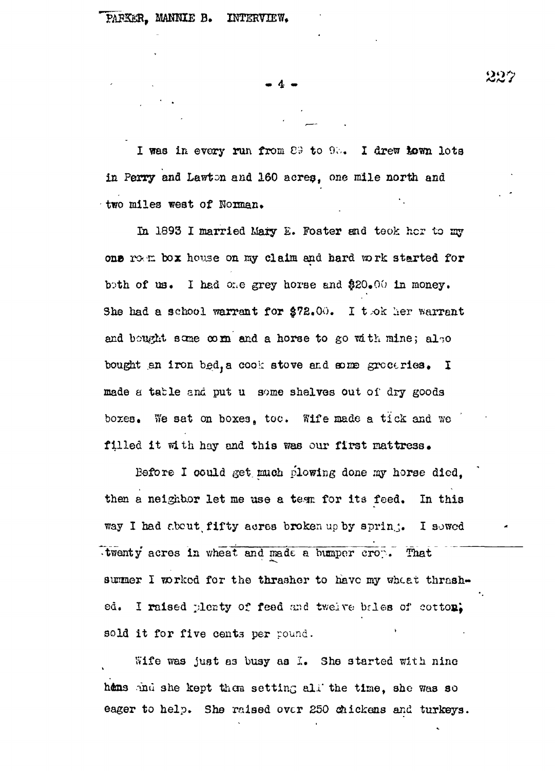*A m* **4 «.**

I was in every run from  $\mathbb{C}9$  to  $9\%$ . I drew town lots in Perry ana Lawton and 160 acres, one mile north and two miles west of Norman.

In 1893 I married Mary E. Foster and took her to my one rown box house on my claim and hard work started for both of us. I had one grey horse and  $$20,00$  in money. She had a school warrant for  $$72.00.$  I tok her warrant and bought some comm and a horse to go with mine; also bought an iron bed, a cook stove and some groceries. I made a table and put u some shelves out of dry goods boxes. We sat on boxes, too. Wife made a tick and we filled it with hay and this was our first mattress.

Before I could get much plowing done my horse died. then a neighbor let me use a tear for its feed. In this way I had about fifty acres broken up by sprin.; I sowed •twenty acres in wheat and made a bumper cro?. That summer I worked for the thrasher to have my wheat thrashed. I raised plenty of feed and twelve bales of cotton; sold it for five cents per pound.

Wife was just as busy as I. She started with nine hens and she kept them setting all the time, she was so eager to help. She raised over 250 chickens and turkeys.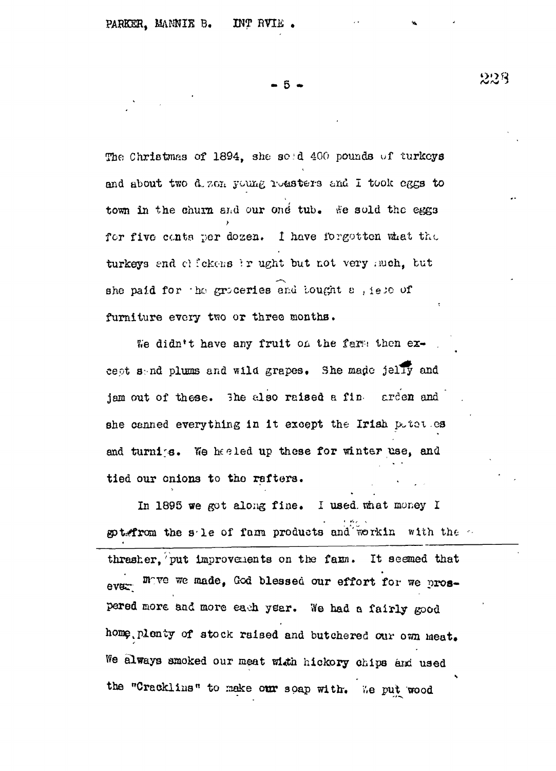The Christmas of 1894, she sold 400 pounds of turkeys and about two d. zen young reasters and I took eggs to town in the churn and our ond tub. We sold the eggs for five conts per dozen. I have forgotten what the turkeys and clickens ir ught but not very much, but she paid for the groceries and lought a , iete of furniture every two or three months.

We didn't have any fruit on the farm then except sand plums and wild grapes. She made jelly and jam out of these. The also raised a fine arden and she canned everything in it except the Irish poten es and turning. We had the these for winter use, and tied our onions to the rafters.

In 1895 we got along fine. I used what money I spt. from the sile of fam products and workin with the thresher. put improvements on the fam. It seemed that ever move we made, God blessed our effort for we prospered more and more each year. We had a fairly good home, plenty of stock raised and butchered our own meat. We always smoked our meat with hickory chips and used the "Cracklins" to make our soap with. We put wood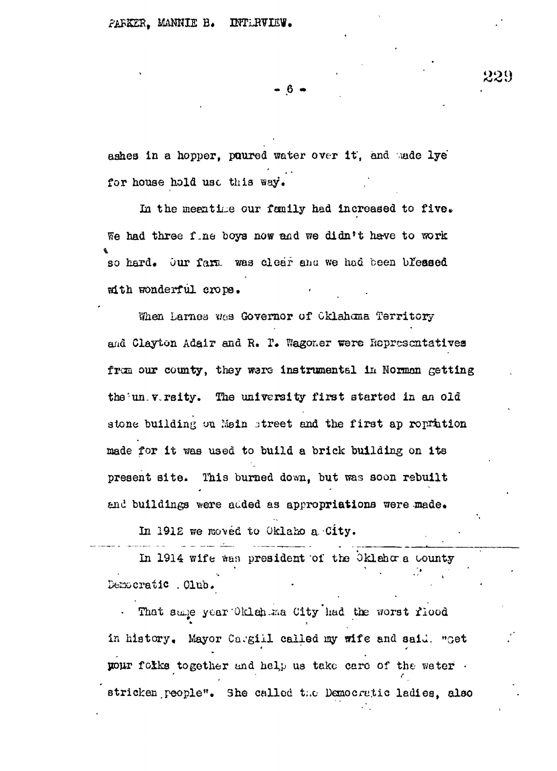- 6 -

ashes in a hopper, poured water over it, and made lye for house hold use this way.

In the meantime our family had increased to five. We had three fine boys now and we didn't have to work so hard. Our fam. was clear and we had been blessed mith wonderful crops.

When Larnes was Governor of Cklahoma Territory and Clayton Adair and R. T. Wagoner were Ropresentatives from our county, they were instrumental in Norman getting the un versity. The university first started in an old stone building on Moin street and the first ap ropration made for it was used to build a brick building on its present site. This burned down, but was soon rebuilt and buildings were added as appropriations were made.

In 1912 we moved to Oklaho a City.

In 1914 wife was president of the Oklahora County Democratic . Olub.

That same year Oklah ma City had the worst flood in history. Mayor Cargill called my wife and said. "Get your folks together and help us take care of the water. stricken people". She called the Democratic ladies, also